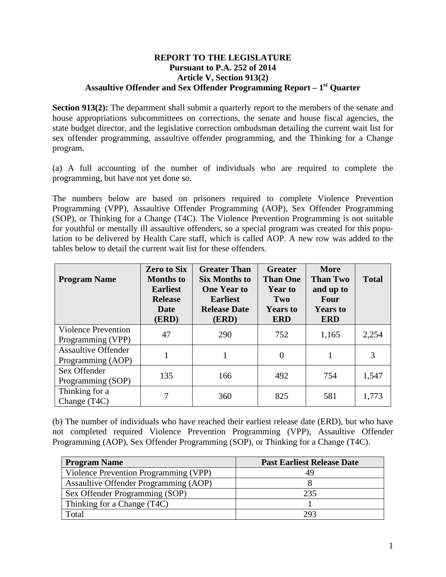## **REPORT TO THE LEGISLATURE Pursuant to P.A. 252 of 2014 Article V, Section 913(2) Assaultive Offender and Sex Offender Programming Report – 1st Quarter**

**Section 913(2):** The department shall submit a quarterly report to the members of the senate and house appropriations subcommittees on corrections, the senate and house fiscal agencies, the state budget director, and the legislative correction ombudsman detailing the current wait list for sex offender programming, assaultive offender programming, and the Thinking for a Change program.

(a) A full accounting of the number of individuals who are required to complete the programming, but have not yet done so.

The numbers below are based on prisoners required to complete Violence Prevention Programming (VPP), Assaultive Offender Programming (AOP), Sex Offender Programming (SOP), or Thinking for a Change (T4C). The Violence Prevention Programming is not suitable for youthful or mentally ill assaultive offenders, so a special program was created for this population to be delivered by Health Care staff, which is called AOP. A new row was added to the tables below to detail the current wait list for these offenders.

| <b>Program Name</b>                             | <b>Zero to Six</b><br><b>Months</b> to<br><b>Earliest</b><br><b>Release</b><br><b>Date</b><br>(ERD) | <b>Greater Than</b><br>Six Months to<br><b>One Year to</b><br><b>Earliest</b><br><b>Release Date</b><br>(ERD) | <b>Greater</b><br><b>Than One</b><br><b>Year to</b><br>Two<br><b>Years to</b><br><b>ERD</b> | <b>More</b><br><b>Than Two</b><br>and up to<br>Four<br><b>Years to</b><br><b>ERD</b> | <b>Total</b> |
|-------------------------------------------------|-----------------------------------------------------------------------------------------------------|---------------------------------------------------------------------------------------------------------------|---------------------------------------------------------------------------------------------|--------------------------------------------------------------------------------------|--------------|
| <b>Violence Prevention</b><br>Programming (VPP) | 47                                                                                                  | 290                                                                                                           | 752                                                                                         | 1,165                                                                                | 2,254        |
| <b>Assaultive Offender</b><br>Programming (AOP) |                                                                                                     |                                                                                                               | $\overline{0}$                                                                              |                                                                                      | 3            |
| Sex Offender<br>Programming (SOP)               | 135                                                                                                 | 166                                                                                                           | 492                                                                                         | 754                                                                                  | 1,547        |
| Thinking for a<br>Change (T <sub>4C</sub> )     |                                                                                                     | 360                                                                                                           | 825                                                                                         | 581                                                                                  | 1,773        |

(b) The number of individuals who have reached their earliest release date (ERD), but who have not completed required Violence Prevention Programming (VPP), Assaultive Offender Programming (AOP), Sex Offender Programming (SOP), or Thinking for a Change (T4C).

| <b>Program Name</b>                   | <b>Past Earliest Release Date</b> |  |  |
|---------------------------------------|-----------------------------------|--|--|
| Violence Prevention Programming (VPP) |                                   |  |  |
| Assaultive Offender Programming (AOP) |                                   |  |  |
| Sex Offender Programming (SOP)        | 235                               |  |  |
| Thinking for a Change (T4C)           |                                   |  |  |
| Total                                 | 203                               |  |  |